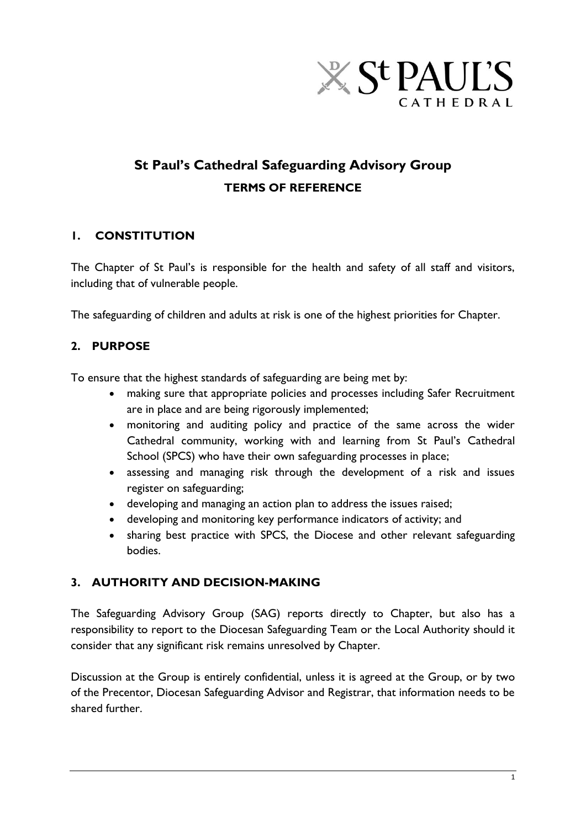

# **St Paul's Cathedral Safeguarding Advisory Group TERMS OF REFERENCE**

## **1. CONSTITUTION**

The Chapter of St Paul's is responsible for the health and safety of all staff and visitors, including that of vulnerable people.

The safeguarding of children and adults at risk is one of the highest priorities for Chapter.

# **2. PURPOSE**

To ensure that the highest standards of safeguarding are being met by:

- making sure that appropriate policies and processes including Safer Recruitment are in place and are being rigorously implemented;
- monitoring and auditing policy and practice of the same across the wider Cathedral community, working with and learning from St Paul's Cathedral School (SPCS) who have their own safeguarding processes in place;
- assessing and managing risk through the development of a risk and issues register on safeguarding;
- developing and managing an action plan to address the issues raised;
- developing and monitoring key performance indicators of activity; and
- sharing best practice with SPCS, the Diocese and other relevant safeguarding bodies.

# **3. AUTHORITY AND DECISION-MAKING**

The Safeguarding Advisory Group (SAG) reports directly to Chapter, but also has a responsibility to report to the Diocesan Safeguarding Team or the Local Authority should it consider that any significant risk remains unresolved by Chapter.

Discussion at the Group is entirely confidential, unless it is agreed at the Group, or by two of the Precentor, Diocesan Safeguarding Advisor and Registrar, that information needs to be shared further.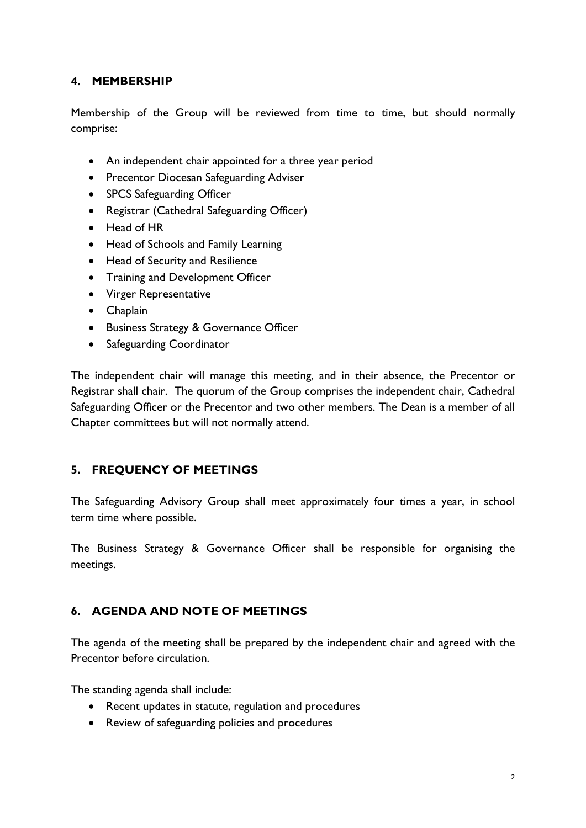## **4. MEMBERSHIP**

Membership of the Group will be reviewed from time to time, but should normally comprise:

- An independent chair appointed for a three year period
- Precentor Diocesan Safeguarding Adviser
- SPCS Safeguarding Officer
- Registrar (Cathedral Safeguarding Officer)
- Head of HR
- Head of Schools and Family Learning
- Head of Security and Resilience
- Training and Development Officer
- Virger Representative
- Chaplain
- **•** Business Strategy & Governance Officer
- Safeguarding Coordinator

The independent chair will manage this meeting, and in their absence, the Precentor or Registrar shall chair. The quorum of the Group comprises the independent chair, Cathedral Safeguarding Officer or the Precentor and two other members. The Dean is a member of all Chapter committees but will not normally attend.

## **5. FREQUENCY OF MEETINGS**

The Safeguarding Advisory Group shall meet approximately four times a year, in school term time where possible.

The Business Strategy & Governance Officer shall be responsible for organising the meetings.

## **6. AGENDA AND NOTE OF MEETINGS**

The agenda of the meeting shall be prepared by the independent chair and agreed with the Precentor before circulation.

The standing agenda shall include:

- Recent updates in statute, regulation and procedures
- Review of safeguarding policies and procedures